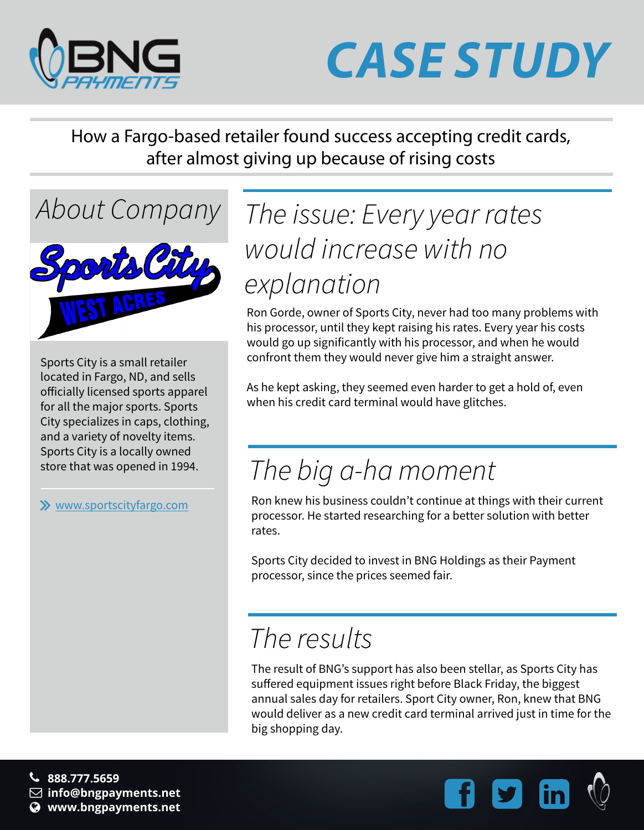

## *CASE STUDY*

How a Fargo-based retailer found success accepting credit cards, after almost giving up because of rising costs

Sports City is a small retailer located in Fargo, ND, and sells officially licensed sports apparel for all the major sports. Sports City specializes in caps, clothing, and a variety of novelty items. Sports City is a locally owned store that was opened in 1994.

[www.sportscityfargo.com](http://www.coopersinc.com)

### *About Company The issue: Every year rates would increase with no explanation*

Ron Gorde, owner of Sports City, never had too many problems with his processor, until they kept raising his rates. Every year his costs would go up significantly with his processor, and when he would confront them they would never give him a straight answer.

As he kept asking, they seemed even harder to get a hold of, even when his credit card terminal would have glitches.

### *The big a-ha moment*

Ron knew his business couldn't continue at things with their current processor. He started researching for a better solution with better rates.

Sports City decided to invest in BNG Holdings as their Payment processor, since the prices seemed fair.

### *The results*

The result of BNG's support has also been stellar, as Sports City has suffered equipment issues right before Black Friday, the biggest annual sales day for retailers. Sport City owner, Ron, knew that BNG would deliver as a new credit card terminal arrived just in time for the big shopping day.